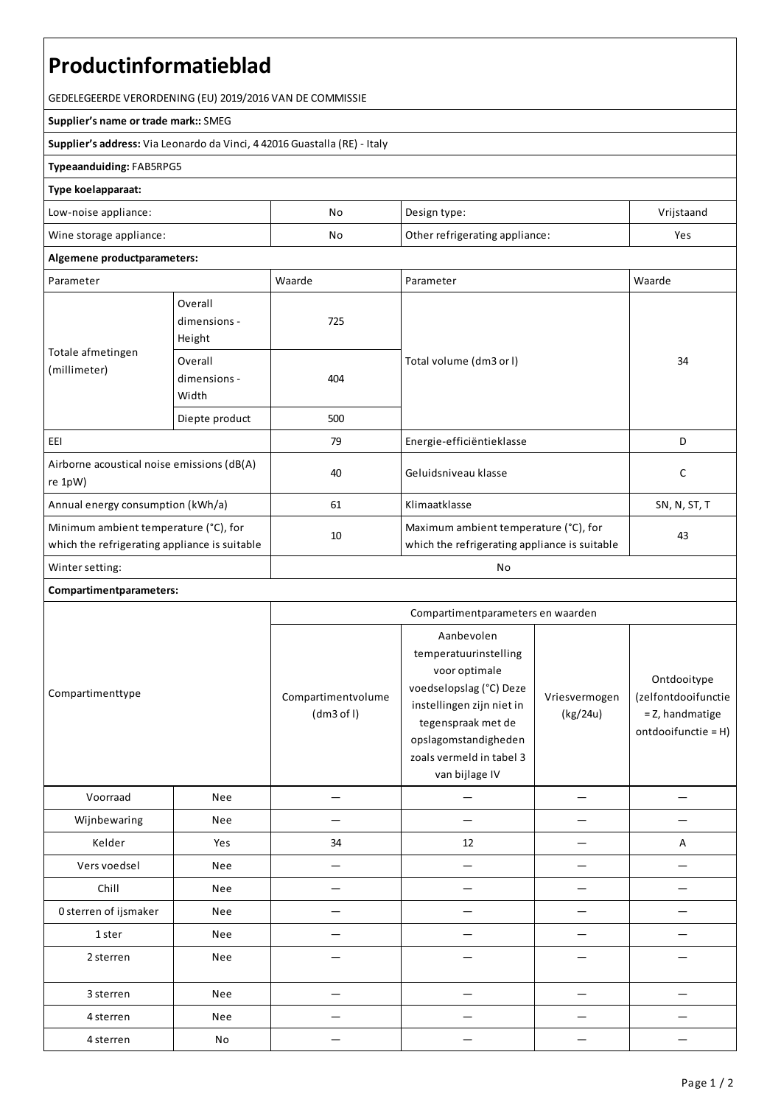# **Productinformatieblad**

GEDELEGEERDE VERORDENING (EU) 2019/2016 VAN DE COMMISSIE

#### **Supplier's name or trade mark::**SMEG

**Supplier's address:** ViaLeonardo da Vinci, 4 42016 Guastalla(RE) - Italy

### **Typeaanduiding:**FAB5RPG5

#### **Type koelapparaat:**

| Low-noise appliance:    | No | Design type:                   | Vrijstaand |
|-------------------------|----|--------------------------------|------------|
| Wine storage appliance: | No | Other refrigerating appliance: | Yes        |

## **Algemene productparameters:**

| Parameter                                                                              |                                   | Waarde | Parameter                                                                              | Waarde       |
|----------------------------------------------------------------------------------------|-----------------------------------|--------|----------------------------------------------------------------------------------------|--------------|
| Totale afmetingen<br>(millimeter)                                                      | Overall<br>dimensions -<br>Height | 725    |                                                                                        | 34           |
|                                                                                        | Overall<br>dimensions -<br>Width  | 404    | Total volume (dm3 or I)                                                                |              |
|                                                                                        | Diepte product                    | 500    |                                                                                        |              |
| EEI                                                                                    |                                   | 79     | Energie-efficiëntieklasse                                                              | D            |
| Airborne acoustical noise emissions (dB(A)<br>re 1pW)                                  |                                   | 40     | Geluidsniveau klasse                                                                   | C            |
| Annual energy consumption (kWh/a)                                                      |                                   | 61     | Klimaatklasse                                                                          | SN, N, ST, T |
| Minimum ambient temperature (°C), for<br>which the refrigerating appliance is suitable |                                   | 10     | Maximum ambient temperature (°C), for<br>which the refrigerating appliance is suitable | 43           |
| Winter setting:                                                                        |                                   | No     |                                                                                        |              |

## **Compartimentparameters:**

|                       |            | Compartimentparameters en waarden |                                                                                                                                                                                                          |                           |                                                                              |
|-----------------------|------------|-----------------------------------|----------------------------------------------------------------------------------------------------------------------------------------------------------------------------------------------------------|---------------------------|------------------------------------------------------------------------------|
| Compartimenttype      |            | Compartimentvolume<br>(dm3 of I)  | Aanbevolen<br>temperatuurinstelling<br>voor optimale<br>voedselopslag (°C) Deze<br>instellingen zijn niet in<br>tegenspraak met de<br>opslagomstandigheden<br>zoals vermeld in tabel 3<br>van bijlage IV | Vriesvermogen<br>(kg/24u) | Ontdooitype<br>(zelfontdooifunctie<br>= Z, handmatige<br>ontdooifunctie = H) |
| Voorraad              | Nee        |                                   |                                                                                                                                                                                                          |                           |                                                                              |
| Wijnbewaring          | Nee        |                                   |                                                                                                                                                                                                          |                           |                                                                              |
| Kelder                | Yes        | 34                                | 12                                                                                                                                                                                                       |                           | A                                                                            |
| Vers voedsel          | <b>Nee</b> |                                   |                                                                                                                                                                                                          |                           |                                                                              |
| Chill                 | Nee        |                                   |                                                                                                                                                                                                          |                           |                                                                              |
| 0 sterren of ijsmaker | Nee        |                                   |                                                                                                                                                                                                          |                           |                                                                              |
| 1 ster                | Nee        |                                   |                                                                                                                                                                                                          |                           |                                                                              |
| 2 sterren             | <b>Nee</b> |                                   |                                                                                                                                                                                                          |                           |                                                                              |
| 3 sterren             | Nee        |                                   |                                                                                                                                                                                                          |                           |                                                                              |
| 4 sterren             | Nee        |                                   |                                                                                                                                                                                                          |                           |                                                                              |
| 4 sterren             | No         |                                   |                                                                                                                                                                                                          |                           |                                                                              |
|                       |            |                                   |                                                                                                                                                                                                          |                           |                                                                              |